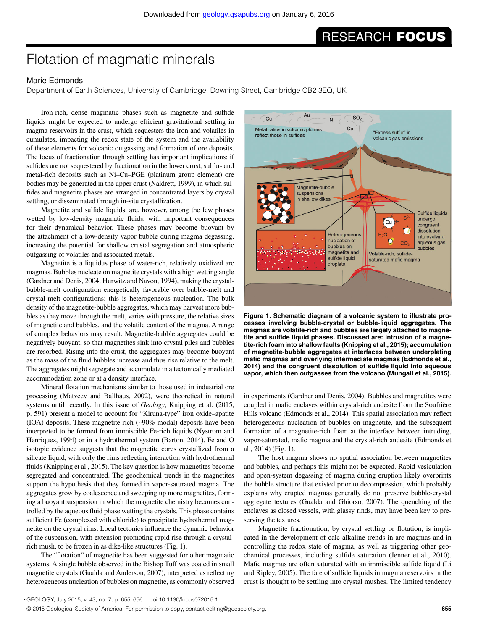## RESEARCH FOCUS

# Flotation of magmatic minerals

#### Marie Edmonds

Department of Earth Sciences, University of Cambridge, Downing Street, Cambridge CB2 3EQ, UK

Iron-rich, dense magmatic phases such as magnetite and sulfide liquids might be expected to undergo efficient gravitational settling in magma reservoirs in the crust, which sequesters the iron and volatiles in cumulates, impacting the redox state of the system and the availability of these elements for volcanic outgassing and formation of ore deposits. The locus of fractionation through settling has important implications: if sulfides are not sequestered by fractionation in the lower crust, sulfur- and metal-rich deposits such as Ni–Cu–PGE (platinum group element) ore bodies may be generated in the upper crust (Naldrett, 1999), in which sulfides and magnetite phases are arranged in concentrated layers by crystal settling, or disseminated through in-situ crystallization.

Magnetite and sulfide liquids, are, however, among the few phases wetted by low-density magmatic fluids, with important consequences for their dynamical behavior. These phases may become buoyant by the attachment of a low-density vapor bubble during magma degassing, increasing the potential for shallow crustal segregation and atmospheric outgassing of volatiles and associated metals.

Magnetite is a liquidus phase of water-rich, relatively oxidized arc magmas. Bubbles nucleate on magnetite crystals with a high wetting angle (Gardner and Denis, 2004; Hurwitz and Navon, 1994), making the crystalbubble-melt configuration energetically favorable over bubble-melt and crystal-melt configurations: this is heterogeneous nucleation. The bulk density of the magnetite-bubble aggregates, which may harvest more bubbles as they move through the melt, varies with pressure, the relative sizes of magnetite and bubbles, and the volatile content of the magma. A range of complex behaviors may result. Magnetite-bubble aggregates could be negatively buoyant, so that magnetites sink into crystal piles and bubbles are resorbed. Rising into the crust, the aggregates may become buoyant as the mass of the fluid bubbles increase and thus rise relative to the melt. The aggregates might segregate and accumulate in a tectonically mediated accommodation zone or at a density interface.

Mineral flotation mechanisms similar to those used in industrial ore processing (Matveev and Ballhaus, 2002), were theoretical in natural systems until recently. In this issue of *Geology*, Knipping et al. (2015, p. 591) present a model to account for "Kiruna-type" iron oxide–apatite (IOA) deposits. These magnetite-rich (~90% modal) deposits have been interpreted to be formed from immiscible Fe-rich liquids (Nystrom and Henriquez, 1994) or in a hydrothermal system (Barton, 2014). Fe and O isotopic evidence suggests that the magnetite cores crystallized from a silicate liquid, with only the rims reflecting interaction with hydrothermal fluids (Knipping et al., 2015). The key question is how magnetites become segregated and concentrated. The geochemical trends in the magnetites support the hypothesis that they formed in vapor-saturated magma. The aggregates grow by coalescence and sweeping up more magnetites, forming a buoyant suspension in which the magnetite chemistry becomes controlled by the aqueous fluid phase wetting the crystals. This phase contains sufficient Fe (complexed with chloride) to precipitate hydrothermal magnetite on the crystal rims. Local tectonics influence the dynamic behavior of the suspension, with extension promoting rapid rise through a crystalrich mush, to be frozen in as dike-like structures (Fig. 1).

The "flotation" of magnetite has been suggested for other magmatic systems. A single bubble observed in the Bishop Tuff was coated in small magnetite crystals (Gualda and Anderson, 2007), interpreted as reflecting heterogeneous nucleation of bubbles on magnetite, as commonly observed



**Figure 1. Schematic diagram of a volcanic system to illustrate processes involving bubble-crystal or bubble-liquid aggregates. The magmas are volatile-rich and bubbles are largely attached to magnetite and sulfide liquid phases. Discussed are: intrusion of a magnetite-rich foam into shallow faults (Knipping et al., 2015); accumulation of magnetite-bubble aggregates at interfaces between underplating mafic magmas and overlying intermediate magmas (Edmonds et al., 2014) and the congruent dissolution of sulfide liquid into aqueous vapor, which then outgasses from the volcano (Mungall et al., 2015).**

in experiments (Gardner and Denis, 2004). Bubbles and magnetites were coupled in mafic enclaves within crystal-rich andesite from the Soufrière Hills volcano (Edmonds et al., 2014). This spatial association may reflect heterogeneous nucleation of bubbles on magnetite, and the subsequent formation of a magnetite-rich foam at the interface between intruding, vapor-saturated, mafic magma and the crystal-rich andesite (Edmonds et al., 2014) (Fig. 1).

The host magma shows no spatial association between magnetites and bubbles, and perhaps this might not be expected. Rapid vesiculation and open-system degassing of magma during eruption likely overprints the bubble structure that existed prior to decompression, which probably explains why erupted magmas generally do not preserve bubble-crystal aggregate textures (Gualda and Ghiorso, 2007). The quenching of the enclaves as closed vessels, with glassy rinds, may have been key to preserving the textures.

Magnetite fractionation, by crystal settling or flotation, is implicated in the development of calc-alkaline trends in arc magmas and in controlling the redox state of magma, as well as triggering other geochemical processes, including sulfide saturation (Jenner et al., 2010). Mafic magmas are often saturated with an immiscible sulfide liquid (Li and Ripley, 2005). The fate of sulfide liquids in magma reservoirs in the crust is thought to be settling into crystal mushes. The limited tendency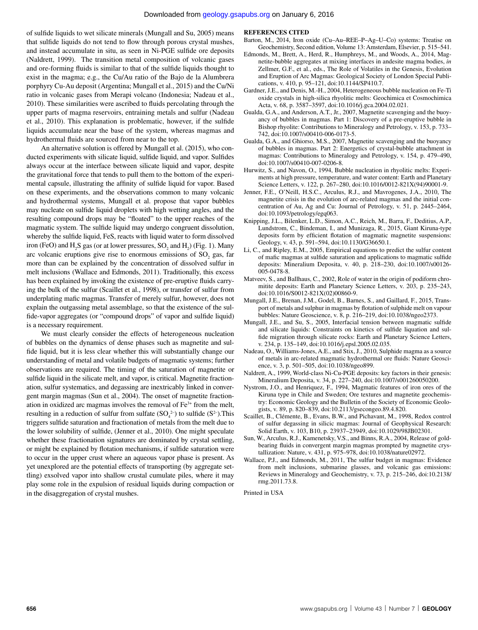of sulfide liquids to wet silicate minerals (Mungall and Su, 2005) means that sulfide liquids do not tend to flow through porous crystal mushes, and instead accumulate in situ, as seen in Ni-PGE sulfide ore deposits (Naldrett, 1999). The transition metal composition of volcanic gases and ore-forming fluids is similar to that of the sulfide liquids thought to exist in the magma; e.g., the Cu/Au ratio of the Bajo de la Alumbrera porphyry Cu-Au deposit (Argentina; Mungall et al., 2015) and the Cu/Ni ratio in volcanic gases from Merapi volcano (Indonesia; Nadeau et al., 2010). These similarities were ascribed to fluids percolating through the upper parts of magma reservoirs, entraining metals and sulfur (Nadeau et al., 2010). This explanation is problematic, however, if the sulfide liquids accumulate near the base of the system, whereas magmas and hydrothermal fluids are sourced from near to the top.

An alternative solution is offered by Mungall et al. (2015), who conducted experiments with silicate liquid, sulfide liquid, and vapor. Sulfides always occur at the interface between silicate liquid and vapor, despite the gravitational force that tends to pull them to the bottom of the experimental capsule, illustrating the affinity of sulfide liquid for vapor. Based on these experiments, and the observations common to many volcanic and hydrothermal systems, Mungall et al. propose that vapor bubbles may nucleate on sulfide liquid droplets with high wetting angles, and the resulting compound drops may be "floated" to the upper reaches of the magmatic system. The sulfide liquid may undergo congruent dissolution, whereby the sulfide liquid, FeS, reacts with liquid water to form dissolved iron (FeO) and  $H_2S$  gas (or at lower pressures,  $SO_2$  and  $H_2$ ) (Fig. 1). Many arc volcanic eruptions give rise to enormous emissions of  $SO<sub>2</sub>$  gas, far more than can be explained by the concentration of dissolved sulfur in melt inclusions (Wallace and Edmonds, 2011). Traditionally, this excess has been explained by invoking the existence of pre-eruptive fluids carrying the bulk of the sulfur (Scaillet et al., 1998), or transfer of sulfur from underplating mafic magmas. Transfer of merely sulfur, however, does not explain the outgassing metal assemblage, so that the existence of the sulfide-vapor aggregates (or "compound drops" of vapor and sulfide liquid) is a necessary requirement.

We must clearly consider the effects of heterogeneous nucleation of bubbles on the dynamics of dense phases such as magnetite and sulfide liquid, but it is less clear whether this will substantially change our understanding of metal and volatile budgets of magmatic systems; further observations are required. The timing of the saturation of magnetite or sulfide liquid in the silicate melt, and vapor, is critical. Magnetite fractionation, sulfur systematics, and degassing are inextricably linked in convergent margin magmas (Sun et al., 2004). The onset of magnetite fractionation in oxidized arc magmas involves the removal of  $Fe<sup>3+</sup>$  from the melt, resulting in a reduction of sulfur from sulfate  $(SO_4^{2-})$  to sulfide  $(S^2)$ . This triggers sulfide saturation and fractionation of metals from the melt due to the lower solubility of sulfide, (Jenner et al., 2010). One might speculate whether these fractionation signatures are dominated by crystal settling, or might be explained by flotation mechanisms, if sulfide saturation were to occur in the upper crust where an aqueous vapor phase is present. As yet unexplored are the potential effects of transporting (by aggregate settling) exsolved vapor into shallow crustal cumulate piles, where it may play some role in the expulsion of residual liquids during compaction or in the disaggregation of crystal mushes.

#### **REFERENCES CITED**

- Barton, M., 2014, Iron oxide (Cu–Au–REE–P–Ag–U–Co) systems: Treatise on Geochemistry, Second edition, Volume 13: Amsterdam, Elsevier, p. 515–541.
- Edmonds, M., Brett, A., Herd, R., Humphreys, M., and Woods, A., 2014, Magnetite-bubble aggregates at mixing interfaces in andesite magma bodies, *in* Zellmer, G.F., et al., eds., The Role of Volatiles in the Genesis, Evolution and Eruption of Arc Magmas: Geological Society of London Special Publications, v. 410, p. 95–121, doi:10.1144/SP410.7.
- Gardner, J.E., and Denis, M.-H., 2004, Heterogeneous bubble nucleation on Fe-Ti oxide crystals in high-silica rhyolitic melts: Geochimica et Cosmochimica Acta, v. 68, p. 3587–3597, doi:10.1016/j.gca.2004.02.021.
- Gualda, G.A., and Anderson, A.T., Jr., 2007, Magnetite scavenging and the buoyancy of bubbles in magmas. Part 1: Discovery of a pre-eruptive bubble in Bishop rhyolite: Contributions to Mineralogy and Petrology, v. 153, p. 733– 742, doi:10.1007/s00410-006-0173-5.
- Gualda, G.A., and Ghiorso, M.S., 2007, Magnetite scavenging and the buoyancy of bubbles in magmas. Part 2: Energetics of crystal-bubble attachment in magmas: Contributions to Mineralogy and Petrology, v. 154, p. 479–490, doi:10.1007/s00410-007-0206-8.
- Hurwitz, S., and Navon, O., 1994, Bubble nucleation in rhyolitic melts: Experiments at high pressure, temperature, and water content: Earth and Planetary Science Letters, v. 122, p. 267–280, doi:10.1016/0012-821X(94)90001-9.
- Jenner, F.E., O'Neill, H.S.C., Arculus, R.J., and Mavrogenes, J.A., 2010, The magnetite crisis in the evolution of arc-related magmas and the initial concentration of Au, Ag and Cu: Journal of Petrology, v. 51, p. 2445–2464, doi:10.1093/petrology/egq063.
- Knipping, J.L., Bilenker, L.D., Simon, A.C., Reich, M., Barra, F., Deditius, A.P., Lundstrom, C., Bindeman, I., and Munizaga, R., 2015, Giant Kiruna-type deposits form by efficient flotation of magmatic magnetite suspensions: Geology, v. 43, p. 591–594, doi:10.1130/G36650.1.
- Li, C., and Ripley, E.M., 2005, Empirical equations to predict the sulfur content of mafic magmas at sulfide saturation and applications to magmatic sulfide deposits: Mineralium Deposita, v. 40, p. 218–230, doi:10.1007/s00126- 005-0478-8.
- Matveev, S., and Ballhaus, C., 2002, Role of water in the origin of podiform chromitite deposits: Earth and Planetary Science Letters, v. 203, p. 235–243, doi:10.1016/S0012-821X(02)00860-9.
- Mungall, J.E., Brenan, J.M., Godel, B., Barnes, S., and Gaillard, F., 2015, Transport of metals and sulphur in magmas by flotation of sulphide melt on vapour bubbles: Nature Geoscience, v. 8, p. 216–219, doi:10.1038/ngeo2373.
- Mungall, J.E., and Su, S., 2005, Interfacial tension between magmatic sulfide and silicate liquids: Constraints on kinetics of sulfide liquation and sulfide migration through silicate rocks: Earth and Planetary Science Letters, v. 234, p. 135–149, doi:10.1016/j.epsl.2005.02.035.
- Nadeau, O., Williams-Jones, A.E., and Stix, J., 2010, Sulphide magma as a source of metals in arc-related magmatic hydrothermal ore fluids: Nature Geoscience, v. 3, p. 501–505, doi:10.1038/ngeo899.
- Naldrett, A., 1999, World-class Ni-Cu-PGE deposits: key factors in their genesis: Mineralium Deposita, v. 34, p. 227–240, doi:10.1007/s001260050200.
- Nystrom, J.O., and Henriquez, F., 1994, Magmatic features of iron ores of the Kiruna type in Chile and Sweden; Ore textures and magnetite geochemistry: Economic Geology and the Bulletin of the Society of Economic Geologists, v. 89, p. 820–839, doi:10.2113/gsecongeo.89.4.820.
- Scaillet, B., Clémente, B., Evans, B.W., and Pichavant, M., 1998, Redox control of sulfur degassing in silicic magmas: Journal of Geophysical Research: Solid Earth, v. 103, B10, p. 23937–23949, doi:10.1029/98JB02301.
- Sun, W., Arculus, R.J., Kamenetsky, V.S., and Binns, R.A., 2004, Release of goldbearing fluids in convergent margin magmas prompted by magnetite crystallization: Nature, v. 431, p. 975–978, doi:10.1038/nature02972.
- Wallace, P.J., and Edmonds, M., 2011, The sulfur budget in magmas: Evidence from melt inclusions, submarine glasses, and volcanic gas emissions: Reviews in Mineralogy and Geochemistry, v. 73, p. 215–246, doi:10.2138/ rmg.2011.73.8.

Printed in USA